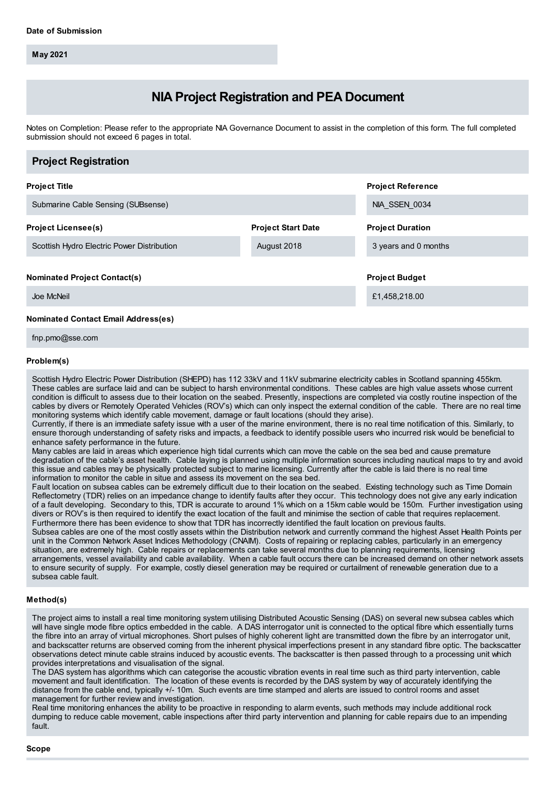**May 2021**

# **NIA Project Registration and PEA Document**

Notes on Completion: Please refer to the appropriate NIA Governance Document to assist in the completion of this form. The full completed submission should not exceed 6 pages in total.

| <b>Project Registration</b>                |                           |                          |
|--------------------------------------------|---------------------------|--------------------------|
| <b>Project Title</b>                       |                           | <b>Project Reference</b> |
| Submarine Cable Sensing (SUBsense)         |                           | NIA SSEN 0034            |
| <b>Project Licensee(s)</b>                 | <b>Project Start Date</b> | <b>Project Duration</b>  |
| Scottish Hydro Electric Power Distribution | August 2018               | 3 years and 0 months     |
| <b>Nominated Project Contact(s)</b>        |                           | <b>Project Budget</b>    |
| Joe McNeil                                 |                           | £1,458,218.00            |
| <b>Nominated Contact Email Address(es)</b> |                           |                          |

fnp.pmo@sse.com

### **Problem(s)**

Scottish Hydro Electric Power Distribution (SHEPD) has 112 33kV and 11kV submarine electricity cables in Scotland spanning 455km. These cables are surface laid and can be subject to harsh environmental conditions. These cables are high value assets whose current condition is difficult to assess due to their location on the seabed. Presently, inspections are completed via costly routine inspection of the cables by divers or Remotely Operated Vehicles (ROV's) which can only inspect the external condition of the cable. There are no real time monitoring systems which identify cable movement, damage or fault locations (should they arise).

Currently, if there is an immediate safety issue with a user of the marine environment, there is no real time notification of this. Similarly, to ensure thorough understanding of safety risks and impacts, a feedback to identify possible users who incurred risk would be beneficial to enhance safety performance in the future.

Many cables are laid in areas which experience high tidal currents which can move the cable on the sea bed and cause premature degradation of the cable's asset health. Cable laying is planned using multiple information sources including nautical maps to try and avoid this issue and cables may be physically protected subject to marine licensing. Currently after the cable is laid there is no real time information to monitor the cable in situe and assess its movement on the sea bed.

Fault location on subsea cables can be extremely difficult due to their location on the seabed. Existing technology such as Time Domain Reflectometry (TDR) relies on an impedance change to identify faults after they occur. This technology does not give any early indication of a fault developing. Secondary to this, TDR is accurate to around 1% which on a 15km cable would be 150m. Further investigation using divers or ROV's is then required to identify the exact location of the fault and minimise the section of cable that requires replacement. Furthermore there has been evidence to show that TDR has incorrectly identified the fault location on previous faults.

Subsea cables are one of the most costly assets within the Distribution network and currently command the highest Asset Health Points per unit in the Common Network Asset Indices Methodology (CNAIM). Costs of repairing or replacing cables, particularly in an emergency situation, are extremely high. Cable repairs or replacements can take several months due to planning requirements, licensing arrangements, vessel availability and cable availability. When a cable fault occurs there can be increased demand on other network assets to ensure security of supply. For example, costly diesel generation may be required or curtailment of renewable generation due to a subsea cable fault.

### **Method(s)**

The project aims to install a real time monitoring system utilising Distributed Acoustic Sensing (DAS) on several new subsea cables which will have single mode fibre optics embedded in the cable. A DAS interrogator unit is connected to the optical fibre which essentially turns the fibre into an array of virtual microphones. Short pulses of highly coherent light are transmitted down the fibre by an interrogator unit, and backscatter returns are observed coming from the inherent physical imperfections present in any standard fibre optic. The backscatter observations detect minute cable strains induced by acoustic events. The backscatter is then passed through to a processing unit which provides interpretations and visualisation of the signal.

The DAS system has algorithms which can categorise the acoustic vibration events in real time such as third party intervention, cable movement and fault identification. The location of these events is recorded by the DAS system by way of accurately identifying the distance from the cable end, typically +/- 10m. Such events are time stamped and alerts are issued to control rooms and asset management for further review and investigation.

Real time monitoring enhances the ability to be proactive in responding to alarm events, such methods may include additional rock dumping to reduce cable movement, cable inspections after third party intervention and planning for cable repairs due to an impending fault.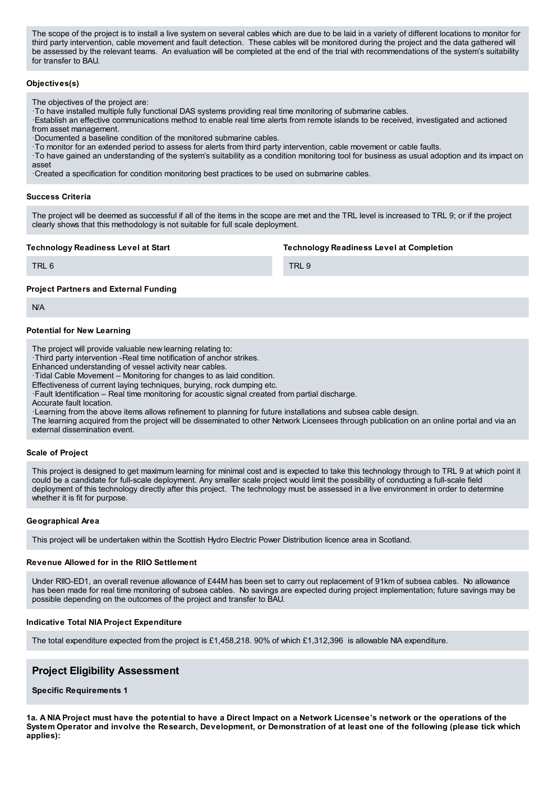The scope of the project is to install a live system on several cables which are due to be laid in a variety of different locations to monitor for third party intervention, cable movement and fault detection. These cables will be monitored during the project and the data gathered will be assessed by the relevant teams. An evaluation will be completed at the end of the trial with recommendations of the system's suitability for transfer to BAU.

# **Objectives(s)**

The objectives of the project are:

·To have installed multiple fully functional DAS systems providing real time monitoring of submarine cables.

·Establish an effective communications method to enable real time alerts from remote islands to be received, investigated and actioned from asset management.

·Documented a baseline condition of the monitored submarine cables.

·To monitor for an extended period to assess for alerts from third party intervention, cable movement or cable faults.

·To have gained an understanding of the system's suitability as a condition monitoring tool for business as usual adoption and its impact on asset

·Created a specification for condition monitoring best practices to be used on submarine cables.

### **Success Criteria**

The project will be deemed as successful if all of the items in the scope are met and the TRL level is increased to TRL 9; or if the project clearly shows that this methodology is not suitable for full scale deployment.

# **Technology Readiness Level at Start**

**Technology Readiness Level at Completion**

TRL 6

TRI 9

# **Project Partners and External Funding**

N/A

# **Potential for New Learning**

The project will provide valuable new learning relating to:

·Third party intervention -Real time notification of anchor strikes.

Enhanced understanding of vessel activity near cables.

·Tidal Cable Movement – Monitoring for changes to as laid condition.

Effectiveness of current laying techniques, burying, rock dumping etc.

·Fault Identification – Real time monitoring for acoustic signal created from partial discharge.

Accurate fault location.

·Learning from the above items allows refinement to planning for future installations and subsea cable design.

The learning acquired from the project will be disseminated to other Network Licensees through publication on an online portal and via an external dissemination event.

# **Scale of Project**

This project is designed to get maximum learning for minimal cost and is expected to take this technology through to TRL 9 at which point it could be a candidate for full-scale deployment. Any smaller scale project would limit the possibility of conducting a full-scale field deployment of this technology directly after this project. The technology must be assessed in a live environment in order to determine whether it is fit for purpose.

# **Geographical Area**

This project will be undertaken within the Scottish Hydro Electric Power Distribution licence area in Scotland.

# **Revenue Allowed for in the RIIO Settlement**

Under RIIO-ED1, an overall revenue allowance of £44M has been set to carry out replacement of 91km of subsea cables. No allowance has been made for real time monitoring of subsea cables. No savings are expected during project implementation; future savings may be possible depending on the outcomes of the project and transfer to BAU.

# **Indicative Total NIA Project Expenditure**

The total expenditure expected from the project is £1,458,218. 90% of which £1,312,396 is allowable NIA expenditure.

# **Project Eligibility Assessment**

**Specific Requirements 1**

1a. A NIA Project must have the potential to have a Direct Impact on a Network Licensee's network or the operations of the System Operator and involve the Research, Development, or Demonstration of at least one of the following (please tick which **applies):**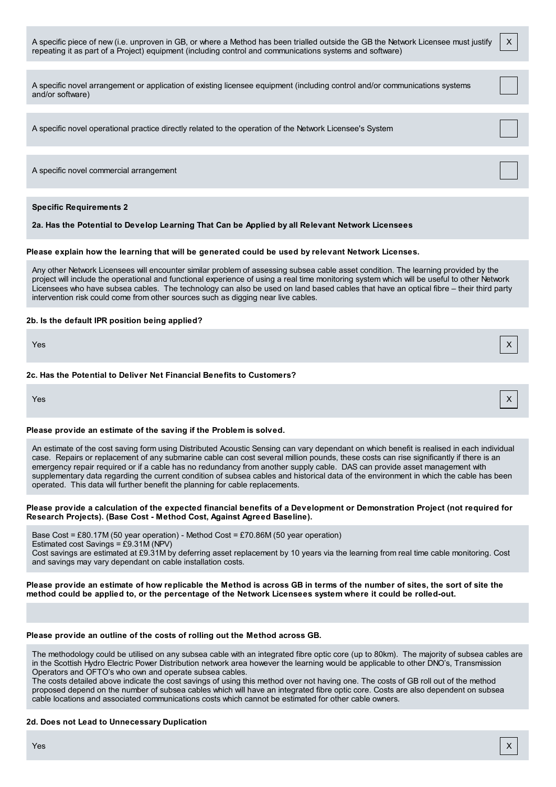| A specific piece of new (i.e. unproven in GB, or where a Method has been trialled outside the GB the Network Licensee must justify<br>repeating it as part of a Project) equipment (including control and communications systems and software)                                                                                                                                                                                                                                                                  | X |
|-----------------------------------------------------------------------------------------------------------------------------------------------------------------------------------------------------------------------------------------------------------------------------------------------------------------------------------------------------------------------------------------------------------------------------------------------------------------------------------------------------------------|---|
| A specific novel arrangement or application of existing licensee equipment (including control and/or communications systems<br>and/or software)                                                                                                                                                                                                                                                                                                                                                                 |   |
| A specific novel operational practice directly related to the operation of the Network Licensee's System                                                                                                                                                                                                                                                                                                                                                                                                        |   |
| A specific novel commercial arrangement                                                                                                                                                                                                                                                                                                                                                                                                                                                                         |   |
| <b>Specific Requirements 2</b><br>2a. Has the Potential to Develop Learning That Can be Applied by all Relevant Network Licensees                                                                                                                                                                                                                                                                                                                                                                               |   |
| Please explain how the learning that will be generated could be used by relevant Network Licenses.                                                                                                                                                                                                                                                                                                                                                                                                              |   |
| Any other Network Licensees will encounter similar problem of assessing subsea cable asset condition. The learning provided by the<br>project will include the operational and functional experience of using a real time monitoring system which will be useful to other Network<br>Licensees who have subsea cables. The technology can also be used on land based cables that have an optical fibre - their third party<br>intervention risk could come from other sources such as digging near live cables. |   |
| 2b. Is the default IPR position being applied?                                                                                                                                                                                                                                                                                                                                                                                                                                                                  |   |
| Yes                                                                                                                                                                                                                                                                                                                                                                                                                                                                                                             | X |
| 2c. Has the Potential to Deliver Net Financial Benefits to Customers?                                                                                                                                                                                                                                                                                                                                                                                                                                           |   |
| Yes                                                                                                                                                                                                                                                                                                                                                                                                                                                                                                             | х |

# **Please provide an estimate of the saving if the Problem is solved.**

An estimate of the cost saving form using Distributed Acoustic Sensing can vary dependant on which benefit is realised in each individual case. Repairs or replacement of any submarine cable can cost several million pounds, these costs can rise significantly if there is an emergency repair required or if a cable has no redundancy from another supply cable. DAS can provide asset management with supplementary data regarding the current condition of subsea cables and historical data of the environment in which the cable has been operated. This data will further benefit the planning for cable replacements.

# Please provide a calculation of the expected financial benefits of a Development or Demonstration Project (not required for **Research Projects). (Base Cost - Method Cost, Against Agreed Baseline).**

Base Cost = £80.17M (50 year operation) - Method Cost = £70.86M (50 year operation) Estimated cost Savings = £9.31M (NPV) Cost savings are estimated at £9.31M by deferring asset replacement by 10 years via the learning from real time cable monitoring. Cost and savings may vary dependant on cable installation costs.

Please provide an estimate of how replicable the Method is across GB in terms of the number of sites, the sort of site the method could be applied to, or the percentage of the Network Licensees system where it could be rolled-out.

# **Please provide an outline of the costs of rolling out the Method across GB.**

The methodology could be utilised on any subsea cable with an integrated fibre optic core (up to 80km). The majority of subsea cables are in the Scottish Hydro Electric Power Distribution network area however the learning would be applicable to other DNO's, Transmission Operators and OFTO's who own and operate subsea cables.

The costs detailed above indicate the cost savings of using this method over not having one. The costs of GB roll out of the method proposed depend on the number of subsea cables which will have an integrated fibre optic core. Costs are also dependent on subsea cable locations and associated communications costs which cannot be estimated for other cable owners.

# **2d. Does not Lead to Unnecessary Duplication**